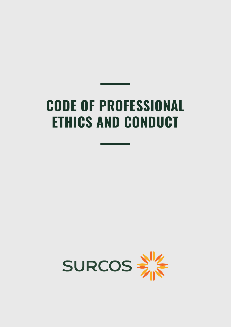# **CODE OF PROFESSIONAL ETHICS AND CONDUCT**

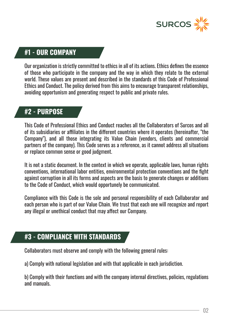

#### **#1 - OUR COMPANY**

Our organization is strictly committed to ethics in all of its actions. Ethics defines the essence of those who participate in the company and the way in which they relate to the external world. These values are present and described in the standards of this Code of Professional Ethics and Conduct. The policy derived from this aims to encourage transparent relationships, avoiding opportunism and generating respect to public and private rules.

#### **#2 - PURPOSE**

This Code of Professional Ethics and Conduct reaches all the Collaborators of Surcos and all of its subsidiaries or affiliates in the different countries where it operates (hereinafter, "the Company"), and all those integrating its Value Chain (vendors, clients and commercial partners of the company). This Code serves as a reference, as it cannot address all situations or replace common sense or good judgment.

It is not a static document. In the context in which we operate, applicable laws, human rights conventions, international labor entities, environmental protection conventions and the fight against corruption in all its forms and aspects are the basis to generate changes or additions to the Code of Conduct, which would opportunely be communicated.

Compliance with this Code is the sole and personal responsibility of each Collaborator and each person who is part of our Value Chain. We trust that each one will recognize and report any illegal or unethical conduct that may affect our Company.

#### **#3 - COMPLIANCE WITH STANDARDS**

Collaborators must observe and comply with the following general rules:

a) Comply with national legislation and with that applicable in each jurisdiction.

b) Comply with their functions and with the company internal directives, policies, regulations and manuals.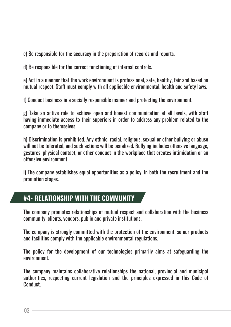c) Be responsible for the accuracy in the preparation of records and reports.

d) Be responsible for the correct functioning of internal controls.

e) Act in a manner that the work environment is professional, safe, healthy, fair and based on mutual respect. Staff must comply with all applicable environmental, health and safety laws.

f) Conduct business in a socially responsible manner and protecting the environment.

g) Take an active role to achieve open and honest communication at all levels, with staff having immediate access to their superiors in order to address any problem related to the company or to themselves.

h) Discrimination is prohibited. Any ethnic, racial, religious, sexual or other bullying or abuse will not be tolerated, and such actions will be penalized. Bullying includes offensive language, gestures, physical contact, or other conduct in the workplace that creates intimidation or an offensive environment.

i) The company establishes equal opportunities as a policy, in both the recruitment and the promotion stages.

## **#4- RELATIONSHIP WITH THE COMMUNITY**

The company promotes relationships of mutual respect and collaboration with the business community, clients, vendors, public and private institutions.

The company is strongly committed with the protection of the environment, so our products and facilities comply with the applicable environmental regulations.

The policy for the development of our technologies primarily aims at safeguarding the environment.

The company maintains collaborative relationships the national, provincial and municipal authorities, respecting current legislation and the principles expressed in this Code of Conduct.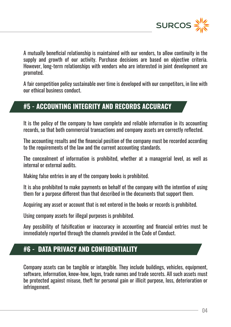

A mutually beneficial relationship is maintained with our vendors, to allow continuity in the supply and growth of our activity. Purchase decisions are based on objective criteria. However, long-term relationships with vendors who are interested in joint development are promoted.

A fair competition policy sustainable over time is developed with our competitors, in line with our ethical business conduct.

## **#5 - ACCOUNTING INTEGRITY AND RECORDS ACCURACY**

It is the policy of the company to have complete and reliable information in its accounting records, so that both commercial transactions and company assets are correctly reflected.

The accounting results and the financial position of the company must be recorded according to the requirements of the law and the current accounting standards.

The concealment of information is prohibited, whether at a managerial level, as well as internal or external audits.

Making false entries in any of the company books is prohibited.

It is also prohibited to make payments on behalf of the company with the intention of using them for a purpose different than that described in the documents that support them.

Acquiring any asset or account that is not entered in the books or records is prohibited.

Using company assets for illegal purposes is prohibited.

Any possibility of falsification or inaccuracy in accounting and financial entries must be immediately reported through the channels provided in the Code of Conduct.

## **#6 - DATA PRIVACY AND CONFIDENTIALITY**

Company assets can be tangible or intangible. They include buildings, vehicles, equipment, software, information, know-how, logos, trade names and trade secrets. All such assets must be protected against misuse, theft for personal gain or illicit purpose, loss, deterioration or infringement.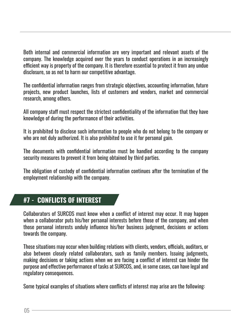Both internal and commercial information are very important and relevant assets of the company. The knowledge acquired over the years to conduct operations in an increasingly efficient way is property of the company. It is therefore essential to protect it from any undue disclosure, so as not to harm our competitive advantage.

The confidential information ranges from strategic objectives, accounting information, future projects, new product launches, lists of customers and vendors, market and commercial research, among others.

All company staff must respect the strictest confidentiality of the information that they have knowledge of during the performance of their activities.

It is prohibited to disclose such information to people who do not belong to the company or who are not duly authorized. It is also prohibited to use it for personal gain.

The documents with confidential information must be handled according to the company security measures to prevent it from being obtained by third parties.

The obligation of custody of confidential information continues after the termination of the employment relationship with the company.

## **#7 - CONFLICTS OF INTEREST**

Collaborators of SURCOS must know when a conflict of interest may occur. It may happen when a collaborator puts his/her personal interests before those of the company, and when those personal interests unduly influence his/her business judgment, decisions or actions towards the company.

Those situations may occur when building relations with clients, vendors, officials, auditors, or also between closely related collaborators, such as family members, Issuing judgments, making decisions or taking actions when we are facing a conflict of interest can hinder the purpose and effective performance of tasks at SURCOS, and, in some cases, can have legal and regulatory consequences.

Some typical examples of situations where conflicts of interest may arise are the following: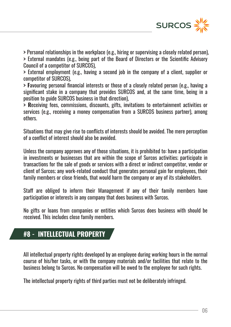

**>** Personal relationships in the workplace (e.g., hiring or supervising a closely related person),

**>** External mandates (e.g., being part of the Board of Directors or the Scientific Advisory Council of a competitor of SURCOS),

**>** External employment (e.g., having a second job in the company of a client, supplier or competitor of SURCOS),

**> F**avouring personal financial interests or those of a closely related person (e.g., having a significant stake in a company that provides SURCOS and, at the same time, being in a position to guide SURCOS business in that direction),

**> R**eceiving fees, commissions, discounts, gifts, invitations to entertainment activities or services (e.g., receiving a money compensation from a SURCOS business partner), among others.

Situations that may give rise to conflicts of interests should be avoided. The mere perception of a conflict of interest should also be avoided.

Unless the company approves any of those situations, it is prohibited to: have a participation in investments or businesses that are within the scope of Surcos activities; participate in transactions for the sale of goods or services with a direct or indirect competitor, vendor or client of Surcos; any work-related conduct that generates personal gain for employees, their family members or close friends, that would harm the company or any of its stakeholders.

Staff are obliged to inform their Management if any of their family members have participation or interests in any company that does business with Surcos.

No gifts or loans from companies or entities which Surcos does business with should be received. This includes close family members.

## **#8 - INTELLECTUAL PROPERTY**

All intellectual property rights developed by an employee during working hours in the normal course of his/her tasks, or with the company materials and/or facilities that relate to the business belong to Surcos. No compensation will be owed to the employee for such rights.

The intellectual property rights of third parties must not be deliberately infringed.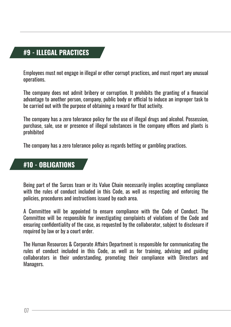## **#9 - ILLEGAL PRACTICES**

Employees must not engage in illegal or other corrupt practices, and must report any unusual operations.

The company does not admit bribery or corruption. It prohibits the granting of a financial advantage to another person, company, public body or official to induce an improper task to be carried out with the purpose of obtaining a reward for that activity.

The company has a zero tolerance policy for the use of illegal drugs and alcohol. Possession, purchase, sale, use or presence of illegal substances in the company offices and plants is prohibited

The company has a zero tolerance policy as regards betting or gambling practices.

#### **#10 - OBLIGATIONS**

Being part of the Surcos team or its Value Chain necessarily implies accepting compliance with the rules of conduct included in this Code, as well as respecting and enforcing the policies, procedures and instructions issued by each area.

A Committee will be appointed to ensure compliance with the Code of Conduct. The Committee will be responsible for investigating complaints of violations of the Code and ensuring confidentiality of the case, as requested by the collaborator, subject to disclosure if required by law or by a court order.

The Human Resources & Corporate Affairs Department is responsible for communicating the rules of conduct included in this Code, as well as for training, advising and guiding collaborators in their understanding, promoting their compliance with Directors and Managers.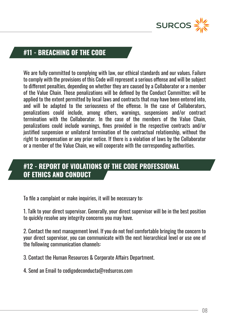

#### **#11 - BREACHING OF THE CODE**

We are fully committed to complying with law, our ethical standards and our values. Failure to comply with the provisions of this Code will represent a serious offense and will be subject to different penalties, depending on whether they are caused by a Collaborator or a member of the Value Chain. Those penalizations will be defined by the Conduct Committee; will be applied to the extent permitted by local laws and contracts that may have been entered into, and will be adapted to the seriousness of the offense. In the case of Collaborators, penalizations could include, among others, warnings, suspensions and/or contract termination with the Collaborator. In the case of the members of the Value Chain, penalizations could include warnings, fines provided in the respective contracts and/or justified suspension or unilateral termination of the contractual relationship, without the right to compensation or any prior notice. If there is a violation of laws by the Collaborator or a member of the Value Chain, we will cooperate with the corresponding authorities.

## **#12 - REPORT OF VIOLATIONS OF THE CODE PROFESSIONAL OF ETHICS AND CONDUCT**

To file a complaint or make inquiries, it will be necessary to:

1. Talk to your direct supervisor. Generally, your direct supervisor will be in the best position to quickly resolve any integrity concerns you may have.

2. Contact the next management level. If you do not feel comfortable bringing the concern to your direct supervisor, you can communicate with the next hierarchical level or use one of the following communication channels:

3. Contact the Human Resources & Corporate Affairs Department.

4. Send an Email to codigodeconducta@redsurcos.com